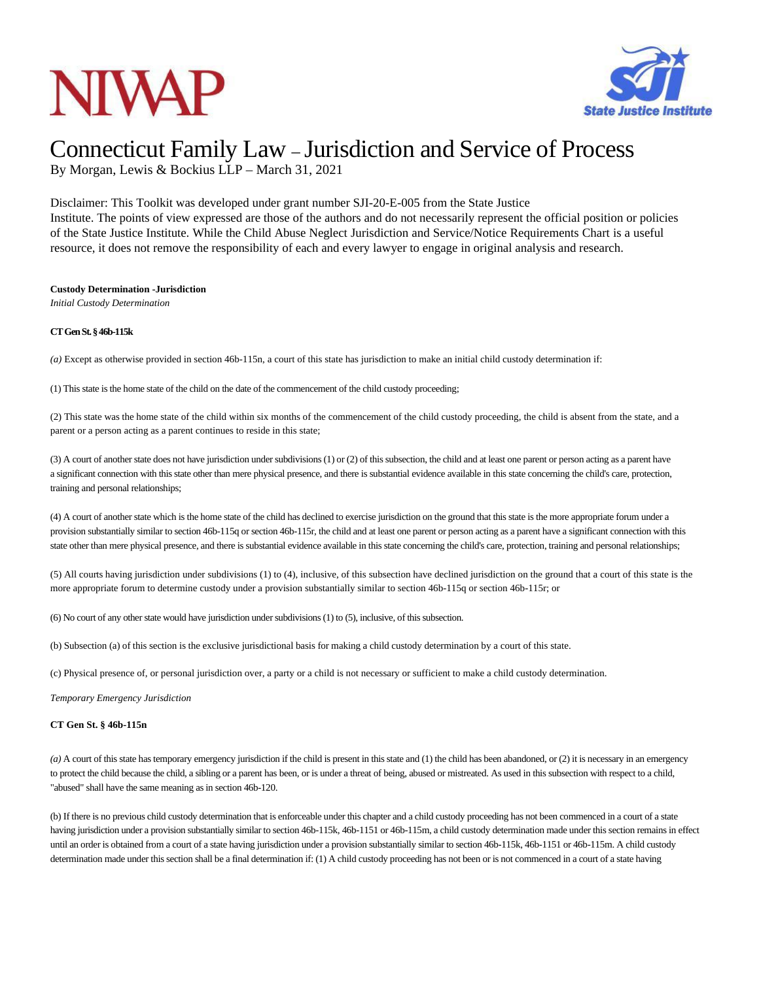## **NIVAP**



### Connecticut Family Law – Jurisdiction and Service of Process

By Morgan, Lewis & Bockius LLP – March 31, 2021

Disclaimer: This Toolkit was developed under grant number SJI-20-E-005 from the State Justice Institute. The points of view expressed are those of the authors and do not necessarily represent the official position or policies of the State Justice Institute. While the Child Abuse Neglect Jurisdiction and Service/Notice Requirements Chart is a useful resource, it does not remove the responsibility of each and every lawyer to engage in original analysis and research.

#### **Custody Determination -Jurisdiction**

*Initial Custody Determination*

### **CTGenSt.§46b-115k**

*(a)* Except as otherwise provided in section 46b-115n, a court of this state has jurisdiction to make an initial child custody determination if:

(1) This state isthe home state of the child on the date of the commencement of the child custody proceeding;

(2) This state was the home state of the child within six months of the commencement of the child custody proceeding, the child is absent from the state, and a parent or a person acting as a parent continues to reside in this state;

(3) A court of another state does not have jurisdiction under subdivisions (1) or (2) of this subsection, the child and at least one parent or person acting as a parent have a significant connection with thisstate other than mere physical presence, and there is substantial evidence available in this state concerning the child's care, protection, training and personal relationships;

(4) A court of another state which is the home state of the child has declined to exercise jurisdiction on the ground that this state is the more appropriate forum under a provision substantially similar to section 46b-115q orsection 46b-115r, the child and at least one parent or person acting as a parent have a significant connection with this state other than mere physical presence, and there is substantial evidence available in this state concerning the child's care, protection, training and personal relationships;

(5) All courts having jurisdiction under subdivisions (1) to (4), inclusive, of this subsection have declined jurisdiction on the ground that a court of this state is the more appropriate forum to determine custody under a provision substantially similar to section 46b-115q or section 46b-115r; or

 $(6)$  No court of any other state would have jurisdiction under subdivisions  $(1)$  to  $(5)$ , inclusive, of this subsection.

(b) Subsection (a) of this section is the exclusive jurisdictional basis for making a child custody determination by a court of this state.

(c) Physical presence of, or personal jurisdiction over, a party or a child is not necessary or sufficient to make a child custody determination.

*Temporary Emergency Jurisdiction*

#### **CT Gen St. § 46b-115n**

*(a)* A court of this state hastemporary emergency jurisdiction if the child is present in thisstate and (1) the child has been abandoned, or (2) it is necessary in an emergency to protect the child because the child, a sibling or a parent has been, or is under a threat of being, abused or mistreated. As used in this subsection with respect to a child, "abused" shall have the same meaning as in section 46b-120.

(b) If there is no previous child custody determination that is enforceable under this chapter and a child custody proceeding has not been commenced in a court of a state having jurisdiction under a provision substantially similar to section 46b-115k, 46b-1151 or 46b-115m, a child custody determination made under this section remains in effect until an order is obtained from a court of a state having jurisdiction under a provision substantially similar to section 46b-115k, 46b-1151 or 46b-115m. A child custody determination made under thissection shall be a final determination if: (1) A child custody proceeding has not been or is not commenced in a court of a state having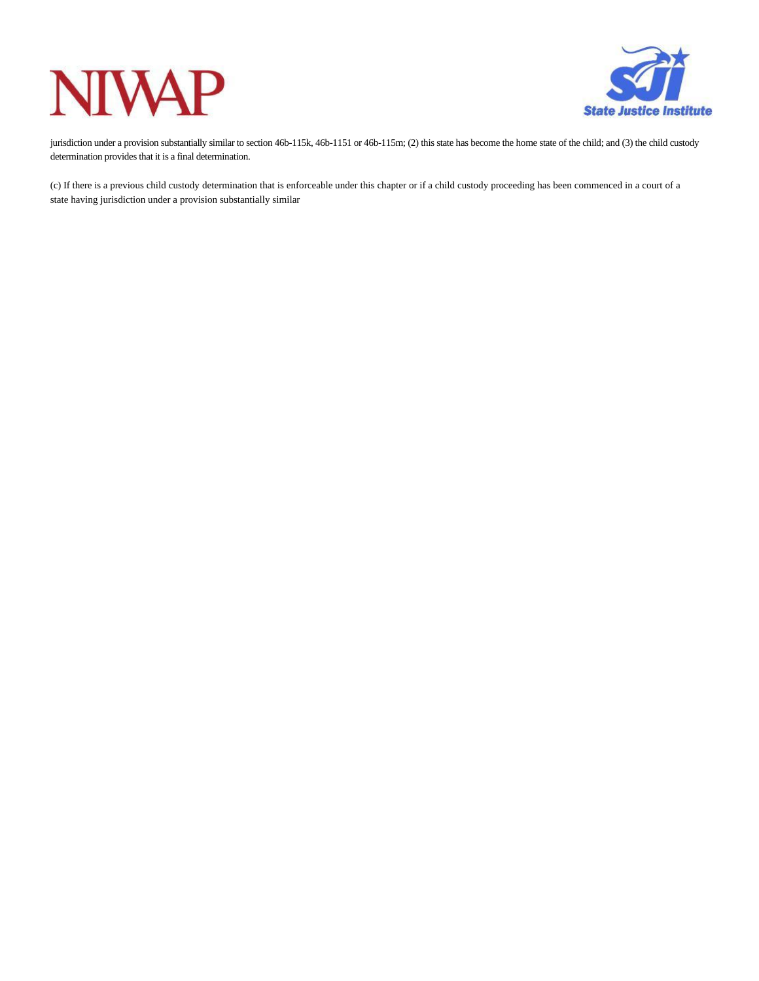### **IWAP** N



jurisdiction under a provision substantially similar to section 46b-115k, 46b-1151 or 46b-115m; (2) this state has become the home state of the child; and (3) the child custody determination provides that it is a final determination.

(c) If there is a previous child custody determination that is enforceable under this chapter or if a child custody proceeding has been commenced in a court of a state having jurisdiction under a provision substantially similar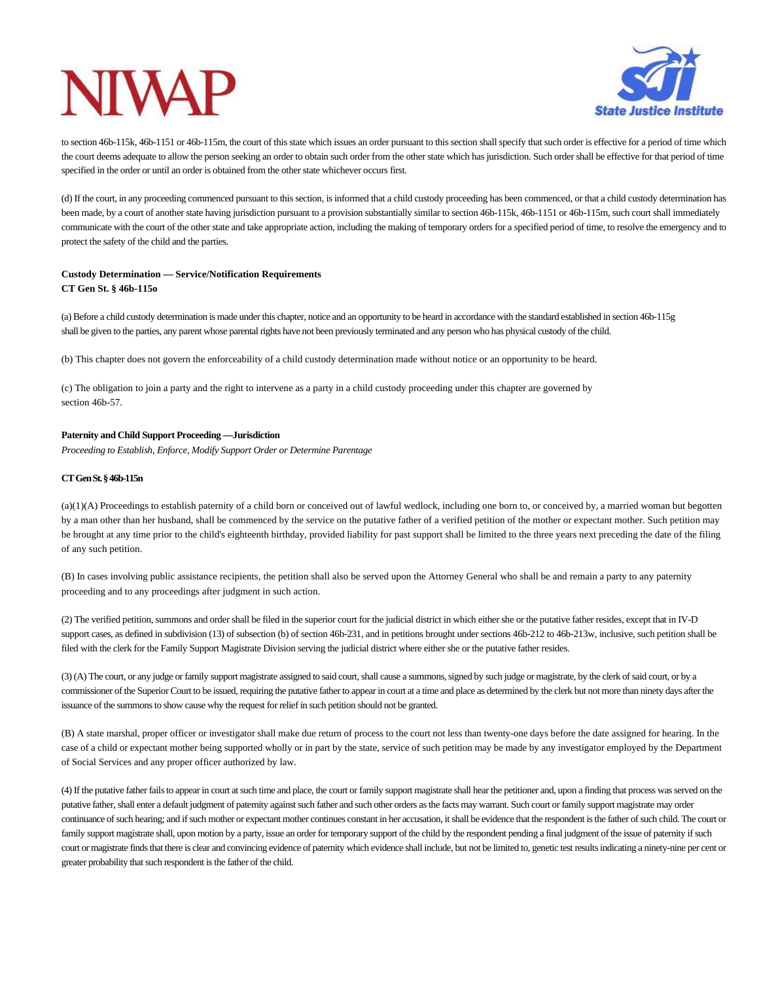

to section 46b-115k, 46b-1151 or 46b-115m, the court of this state which issues an order pursuant to this section shall specify that such order is effective for a period of time which the court deems adequate to allow the person seeking an order to obtain such order from the other state which has jurisdiction. Such order shall be effective for that period of time specified in the order or until an order is obtained from the other state whichever occurs first.

(d) If the court, in any proceeding commenced pursuant to thissection, isinformed that a child custody proceeding has been commenced, or that a child custody determination has been made, by a court of another state having jurisdiction pursuant to a provision substantially similar to section 46b-115k, 46b-1151 or 46b-115m, such court shall immediately communicate with the court of the other state and take appropriate action, including the making of temporary orders for a specified period of time, to resolve the emergency and to protect the safety of the child and the parties.

### **Custody Determination — Service/Notification Requirements CT Gen St. § 46b-115o**

(a) Before a child custody determination is made under this chapter, notice and an opportunity to be heard in accordance with the standard established in section 46b-115g shall be given to the parties, any parent whose parental rights have not been previously terminated and any person who has physical custody ofthe child.

(b) This chapter does not govern the enforceability of a child custody determination made without notice or an opportunity to be heard.

(c) The obligation to join a party and the right to intervene as a party in a child custody proceeding under this chapter are governed by section 46b-57.

### **Paternity and Child Support Proceeding —Jurisdiction**

*Proceeding to Establish, Enforce, Modify Support Order or Determine Parentage*

### **CTGenSt.§46b-115n**

(a)(1)(A) Proceedings to establish paternity of a child born or conceived out of lawful wedlock, including one born to, or conceived by, a married woman but begotten by a man other than her husband, shall be commenced by the service on the putative father of a verified petition of the mother or expectant mother. Such petition may be brought at any time prior to the child's eighteenth birthday, provided liability for past support shall be limited to the three years next preceding the date of the filing of any such petition.

(B) In cases involving public assistance recipients, the petition shall also be served upon the Attorney General who shall be and remain a party to any paternity proceeding and to any proceedings after judgment in such action.

(2) The verified petition, summons and order shall be filed in the superior court for the judicial district in which either she or the putative father resides, except that in IV-D support cases, as defined in subdivision (13) of subsection (b) of section 46b-231, and in petitions brought under sections 46b-212 to 46b-213w, inclusive, such petition shall be filed with the clerk for the Family Support Magistrate Division serving the judicial district where either she or the putative father resides.

(3) (A) The court, or any judge or family support magistrate assigned to said court, shall cause a summons, signed by such judge or magistrate, by the clerk of said court, or by a commissioner ofthe Superior Court to be issued, requiring the putative fatherto appearin court at a time and place as determined by the clerk but not more than ninety days afterthe issuance of the summonsto show cause why the request for reliefin such petition should not be granted.

(B) A state marshal, proper officer or investigator shall make due return of process to the court not less than twenty-one days before the date assigned for hearing. In the case of a child or expectant mother being supported wholly or in part by the state, service of such petition may be made by any investigator employed by the Department of Social Services and any proper officer authorized by law.

(4) If the putative father failsto appearin court atsuch time and place, the court or family support magistrate shall hear the petitioner and, upon a finding that process wasserved on the putative father, shall enter a default judgment of paternity against such father and such other orders as the facts may warrant. Such court or family support magistrate may order continuance of such hearing; and if such mother or expectant mother continues constant in her accusation, it shall be evidence that the respondent is the father of such child. The court or family support magistrate shall, upon motion by a party, issue an order for temporary support of the child by the respondent pending a final judgment of the issue of paternity if such court or magistrate finds that there is clear and convincing evidence of paternity which evidence shall include, but not be limited to, genetic test results indicating a ninety-nine per cent or greater probability that such respondent is the father of the child.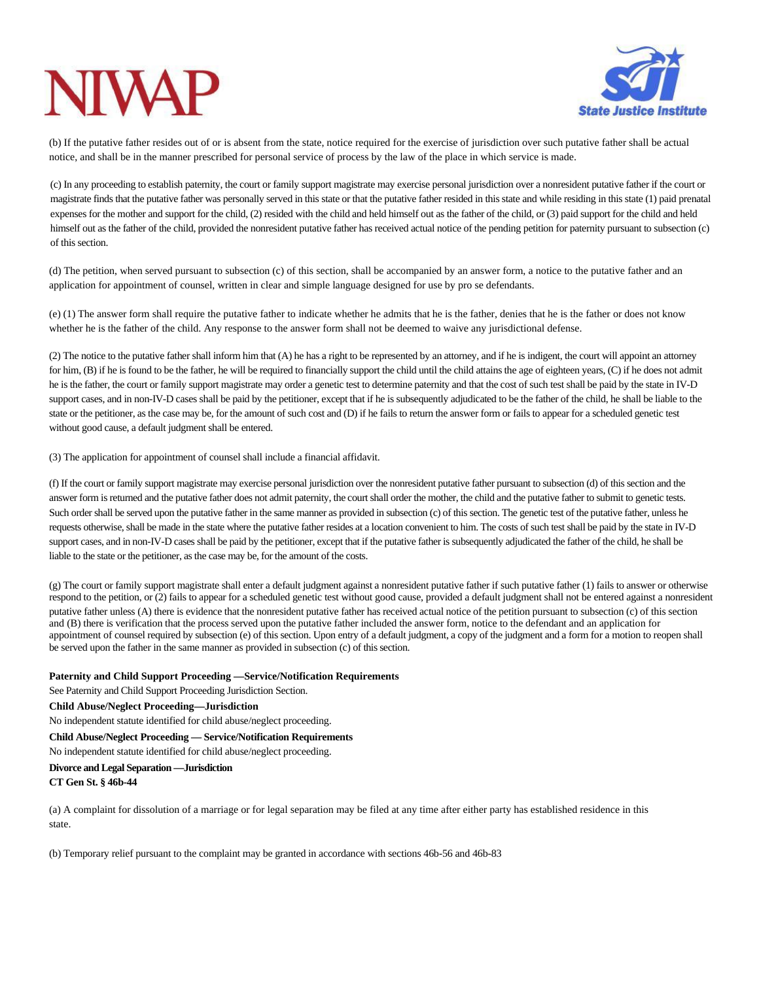# **NIW**



(b) If the putative father resides out of or is absent from the state, notice required for the exercise of jurisdiction over such putative father shall be actual notice, and shall be in the manner prescribed for personal service of process by the law of the place in which service is made.

(c) In any proceeding to establish paternity, the court or family support magistrate may exercise personal jurisdiction over a nonresident putative father if the court or magistrate finds that the putative father was personally served in this state or that the putative father resided in this state and while residing in this state (1) paid prenatal expenses for the mother and support for the child, (2) resided with the child and held himself out as the father of the child, or (3) paid support for the child and held himself out as the father of the child, provided the nonresident putative father has received actual notice of the pending petition for paternity pursuant to subsection (c) of this section.

(d) The petition, when served pursuant to subsection (c) of this section, shall be accompanied by an answer form, a notice to the putative father and an application for appointment of counsel, written in clear and simple language designed for use by pro se defendants.

(e) (1) The answer form shall require the putative father to indicate whether he admits that he is the father, denies that he is the father or does not know whether he is the father of the child. Any response to the answer form shall not be deemed to waive any jurisdictional defense.

(2) The notice to the putative father shall inform him that (A) he has a right to be represented by an attorney, and if he is indigent, the court will appoint an attorney for him, (B) if he is found to be the father, he will be required to financially support the child until the child attains the age of eighteen years, (C) if he does not admit he is the father, the court or family support magistrate may order a genetic test to determine paternity and that the cost of such test shall be paid by the state in IV-D support cases, and in non-IV-D cases shall be paid by the petitioner, except that if he is subsequently adjudicated to be the father of the child, he shall be liable to the state or the petitioner, as the case may be, for the amount of such cost and (D) if he fails to return the answer form or fails to appear for a scheduled genetic test without good cause, a default judgment shall be entered.

(3) The application for appointment of counsel shall include a financial affidavit.

(f) If the court or family support magistrate may exercise personal jurisdiction over the nonresident putative father pursuant to subsection (d) of thissection and the answer form is returned and the putative father does not admit paternity, the court shall order the mother, the child and the putative father to submit to genetic tests. Such order shall be served upon the putative father in the same manner as provided in subsection (c) of this section. The genetic test of the putative father, unless he requests otherwise, shall be made in the state where the putative father resides at a location convenient to him. The costs of such test shall be paid by the state in IV-D support cases, and in non-IV-D cases shall be paid by the petitioner, except that if the putative father is subsequently adjudicated the father of the child, he shall be liable to the state or the petitioner, asthe case may be, for the amount of the costs.

(g) The court or family support magistrate shall enter a default judgment against a nonresident putative father if such putative father (1) fails to answer or otherwise respond to the petition, or (2) fails to appear for a scheduled genetic test without good cause, provided a default judgment shall not be entered against a nonresident putative father unless (A) there is evidence that the nonresident putative father has received actual notice of the petition pursuant to subsection (c) of this section and (B) there is verification that the process served upon the putative father included the answer form, notice to the defendant and an application for appointment of counsel required by subsection (e) of this section. Upon entry of a default judgment, a copy of the judgment and a form for a motion to reopen shall be served upon the father in the same manner as provided in subsection (c) of this section.

**Paternity and Child Support Proceeding —Service/Notification Requirements**

See Paternity and Child Support Proceeding Jurisdiction Section.

**Child Abuse/Neglect Proceeding—Jurisdiction**

No independent statute identified for child abuse/neglect proceeding.

**Child Abuse/Neglect Proceeding — Service/Notification Requirements**

No independent statute identified for child abuse/neglect proceeding.

#### **Divorce and Legal Separation —Jurisdiction CT Gen St. § 46b-44**

(a) A complaint for dissolution of a marriage or for legal separation may be filed at any time after either party has established residence in this state.

(b) Temporary relief pursuant to the complaint may be granted in accordance with sections 46b-56 and 46b-83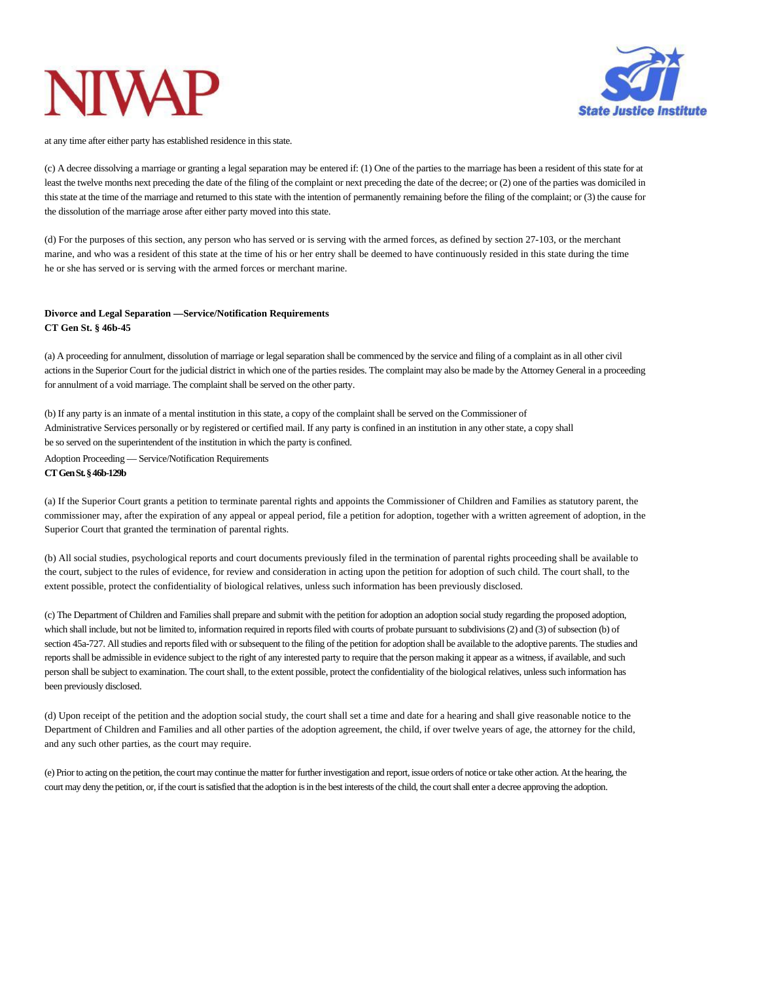

at any time after either party has established residence in this state.

(c) A decree dissolving a marriage or granting a legal separation may be entered if: (1) One of the parties to the marriage has been a resident of this state for at least the twelve months next preceding the date of the filing of the complaint or next preceding the date of the decree; or (2) one of the parties was domiciled in this state at the time of the marriage and returned to this state with the intention of permanently remaining before the filing of the complaint; or (3) the cause for the dissolution of the marriage arose after either party moved into this state.

(d) For the purposes of this section, any person who has served or is serving with the armed forces, as defined by section 27-103, or the merchant marine, and who was a resident of this state at the time of his or her entry shall be deemed to have continuously resided in this state during the time he or she has served or is serving with the armed forces or merchant marine.

#### **Divorce and Legal Separation —Service/Notification Requirements CT Gen St. § 46b-45**

(a) A proceeding for annulment, dissolution of marriage or legal separation shall be commenced by the service and filing of a complaint asin all other civil actions in the Superior Court for the judicial district in which one of the parties resides. The complaint may also be made by the Attorney General in a proceeding for annulment of a void marriage. The complaint shall be served on the other party.

(b) If any party is an inmate of a mental institution in this state, a copy of the complaint shall be served on the Commissioner of Administrative Services personally or by registered or certified mail. If any party is confined in an institution in any other state, a copy shall be so served on the superintendent of the institution in which the party is confined. Adoption Proceeding — Service/Notification Requirements **CTGenSt.§46b-129b**

(a) If the Superior Court grants a petition to terminate parental rights and appoints the Commissioner of Children and Families as statutory parent, the commissioner may, after the expiration of any appeal or appeal period, file a petition for adoption, together with a written agreement of adoption, in the Superior Court that granted the termination of parental rights.

(b) All social studies, psychological reports and court documents previously filed in the termination of parental rights proceeding shall be available to the court, subject to the rules of evidence, for review and consideration in acting upon the petition for adoption of such child. The court shall, to the extent possible, protect the confidentiality of biological relatives, unless such information has been previously disclosed.

(c) The Department of Children and Familiesshall prepare and submit with the petition for adoption an adoption social study regarding the proposed adoption, which shall include, but not be limited to, information required in reports filed with courts of probate pursuant to subdivisions (2) and (3) of subsection (b) of section 45a-727. All studies and reports filed with or subsequent to the filing of the petition for adoption shall be available to the adoptive parents. The studies and reportsshall be admissible in evidence subject to the right of any interested party to require that the person making it appear as a witness, if available, and such person shall be subject to examination. The court shall, to the extent possible, protect the confidentiality of the biological relatives, unless such information has been previously disclosed.

(d) Upon receipt of the petition and the adoption social study, the court shall set a time and date for a hearing and shall give reasonable notice to the Department of Children and Families and all other parties of the adoption agreement, the child, if over twelve years of age, the attorney for the child, and any such other parties, as the court may require.

(e) Priorto acting on the petition, the court may continue the matterforfurtherinvestigation and report, issue orders of notice ortake other action. At the hearing, the court may deny the petition, or, if the court is satisfied that the adoption is in the best interests of the child, the court shall enter a decree approving the adoption.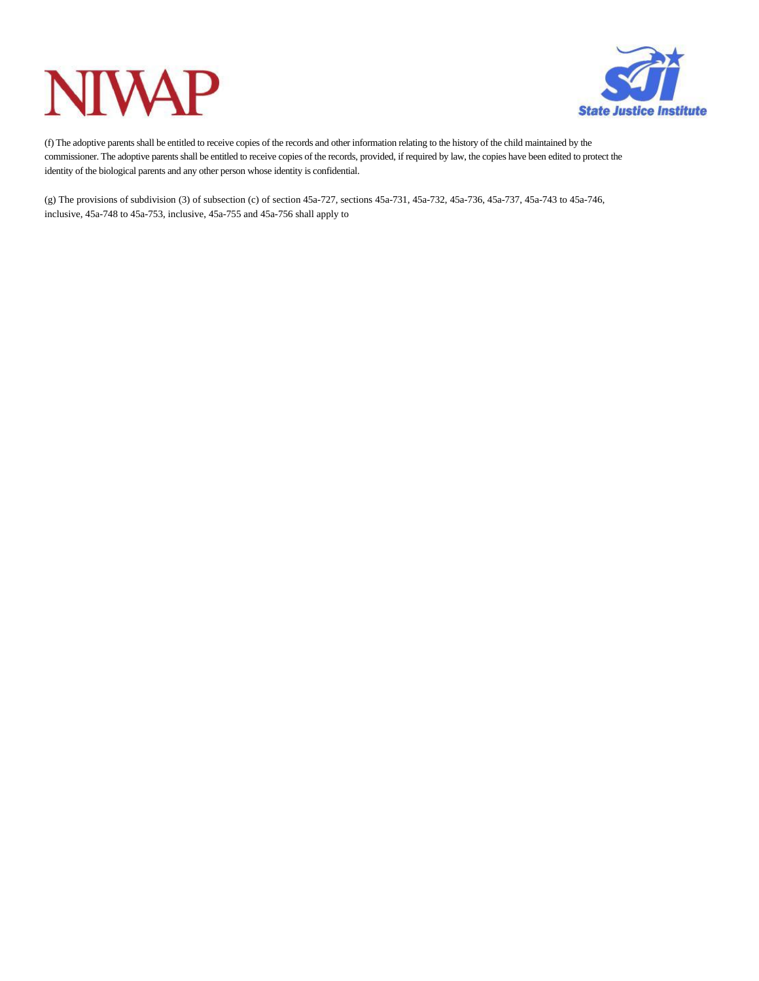## **NIVAP**



(f) The adoptive parentsshall be entitled to receive copies of the records and other information relating to the history of the child maintained by the commissioner. The adoptive parentsshall be entitled to receive copies of the records, provided, if required by law, the copies have been edited to protect the identity of the biological parents and any other person whose identity is confidential.

(g) The provisions of subdivision (3) of subsection (c) of section 45a-727, sections 45a-731, 45a-732, 45a-736, 45a-737, 45a-743 to 45a-746, inclusive, 45a-748 to 45a-753, inclusive, 45a-755 and 45a-756 shall apply to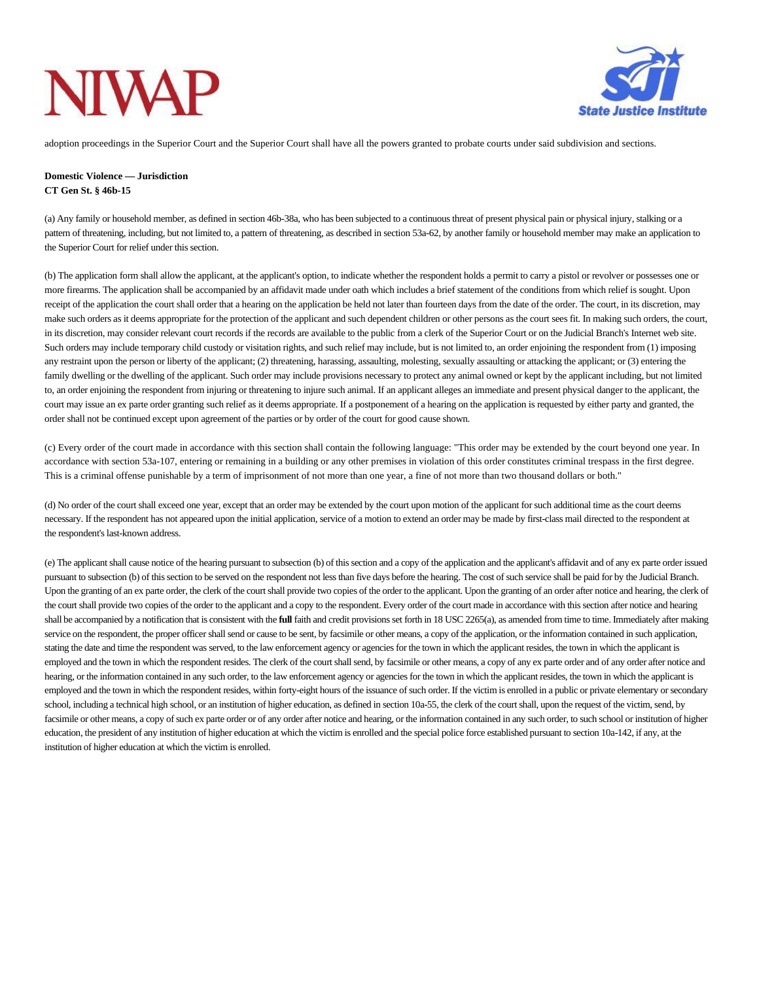# **NIW**



adoption proceedings in the Superior Court and the Superior Court shall have all the powers granted to probate courts under said subdivision and sections.

#### **Domestic Violence — Jurisdiction CT Gen St. § 46b-15**

(a) Any family or household member, as defined in section 46b-38a, who has been subjected to a continuousthreat of present physical pain or physical injury, stalking or a pattern of threatening, including, but not limited to, a pattern of threatening, as described in section 53a-62, by another family or household member may make an application to the Superior Court for relief under this section.

(b) The application form shall allow the applicant, at the applicant's option, to indicate whether the respondent holds a permit to carry a pistol or revolver or possesses one or more firearms. The application shall be accompanied by an affidavit made under oath which includes a brief statement of the conditions from which relief is sought. Upon receipt of the application the court shall order that a hearing on the application be held not later than fourteen days from the date of the order. The court, in its discretion, may make such orders as it deems appropriate for the protection of the applicant and such dependent children or other persons as the court sees fit. In making such orders, the court, in its discretion, may consider relevant court records if the records are available to the public from a clerk of the Superior Court or on the Judicial Branch's Internet web site. Such orders may include temporary child custody or visitation rights, and such relief may include, but is not limited to, an order enjoining the respondent from (1) imposing any restraint upon the person or liberty of the applicant; (2) threatening, harassing, assaulting, molesting, sexually assaulting or attacking the applicant; or (3) entering the family dwelling or the dwelling of the applicant. Such order may include provisions necessary to protect any animal owned or kept by the applicant including, but not limited to, an order enjoining the respondent from injuring or threatening to injure such animal. If an applicant alleges an immediate and present physical danger to the applicant, the court may issue an ex parte order granting such relief as it deems appropriate. If a postponement of a hearing on the application is requested by either party and granted, the order shall not be continued except upon agreement of the parties or by order of the court for good cause shown.

(c) Every order of the court made in accordance with this section shall contain the following language: "This order may be extended by the court beyond one year. In accordance with section 53a-107, entering or remaining in a building or any other premises in violation of this order constitutes criminal trespass in the first degree. This is a criminal offense punishable by a term of imprisonment of not more than one year, a fine of not more than two thousand dollars or both."

(d) No order of the court shall exceed one year, except that an order may be extended by the court upon motion of the applicant forsuch additional time asthe court deems necessary. If the respondent has not appeared upon the initial application, service of a motion to extend an order may be made by first-class mail directed to the respondent at the respondent's last-known address.

(e) The applicantshall cause notice of the hearing pursuant to subsection (b) of thissection and a copy of the application and the applicant's affidavit and of any ex parte order issued pursuant to subsection (b) of thissection to be served on the respondent not lessthan five days before the hearing. The cost ofsuch service shall be paid for by the Judicial Branch. Upon the granting of an ex parte order, the clerk of the court shall provide two copies of the order to the applicant. Upon the granting of an order after notice and hearing, the clerk of the court shall provide two copies of the order to the applicant and a copy to the respondent. Every order of the court made in accordance with this section after notice and hearing shall be accompanied by a notification that is consistent with the **full** faith and credit provisions set forth in 18 USC 2265(a), as amended from time to time. Immediately after making service on the respondent, the proper officer shall send or cause to be sent, by facsimile or other means, a copy of the application, or the information contained in such application, stating the date and time the respondent was served, to the law enforcement agency or agencies for the town in which the applicant resides, the town in which the applicant is employed and the town in which the respondent resides. The clerk of the court shall send, by facsimile or other means, a copy of any ex parte order and of any order after notice and hearing, or the information contained in any such order, to the law enforcement agency or agencies for the town in which the applicant resides, the town in which the applicant is employed and the town in which the respondent resides, within forty-eight hours of the issuance of such order. If the victim is enrolled in a public or private elementary or secondary school, including a technical high school, or an institution of higher education, as defined in section 10a-55, the clerk of the court shall, upon the request of the victim, send, by facsimile or other means, a copy of such ex parte order or of any order after notice and hearing, or the information contained in any such order, to such school or institution of higher education, the president of any institution of higher education at which the victim is enrolled and the special police force established pursuant to section 10a-142, if any, at the institution of higher education at which the victim is enrolled.